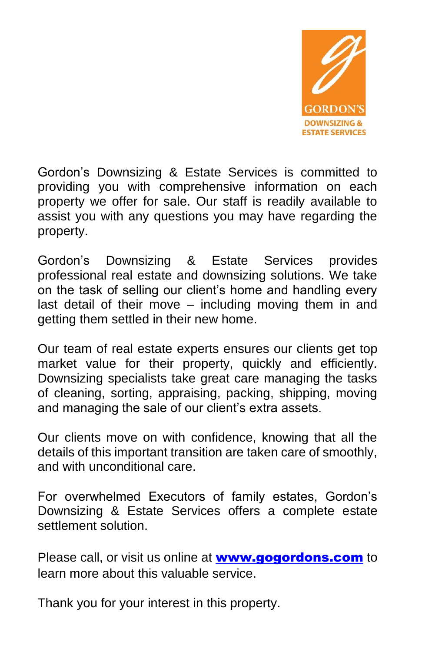

Gordon's Downsizing & Estate Services is committed to providing you with comprehensive information on each property we offer for sale. Our staff is readily available to assist you with any questions you may have regarding the property.

Gordon's Downsizing & Estate Services provides professional real estate and downsizing solutions. We take on the task of selling our client's home and handling every last detail of their move – including moving them in and getting them settled in their new home.

Our team of real estate experts ensures our clients get top market value for their property, quickly and efficiently. Downsizing specialists take great care managing the tasks of cleaning, sorting, appraising, packing, shipping, moving and managing the sale of our client's extra assets.

Our clients move on with confidence, knowing that all the details of this important transition are taken care of smoothly, and with unconditional care.

For overwhelmed Executors of family estates, Gordon's Downsizing & Estate Services offers a complete estate settlement solution.

Please call, or visit us online at **[www.gogordons.com](http://www.gogordons.com/)** to learn more about this valuable service.

Thank you for your interest in this property.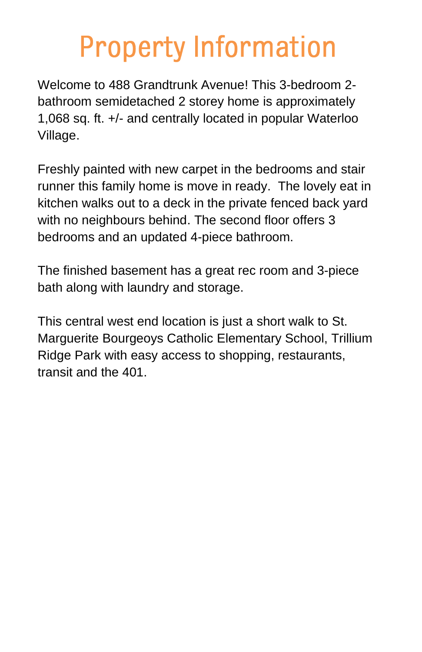## **Property Information**

Welcome to 488 Grandtrunk Avenue! This 3-bedroom 2 bathroom semidetached 2 storey home is approximately 1,068 sq. ft. +/- and centrally located in popular Waterloo Village.

Freshly painted with new carpet in the bedrooms and stair runner this family home is move in ready. The lovely eat in kitchen walks out to a deck in the private fenced back yard with no neighbours behind. The second floor offers 3 bedrooms and an updated 4-piece bathroom.

The finished basement has a great rec room and 3-piece bath along with laundry and storage.

This central west end location is just a short walk to St. Marguerite Bourgeoys Catholic Elementary School, Trillium Ridge Park with easy access to shopping, restaurants, transit and the 401.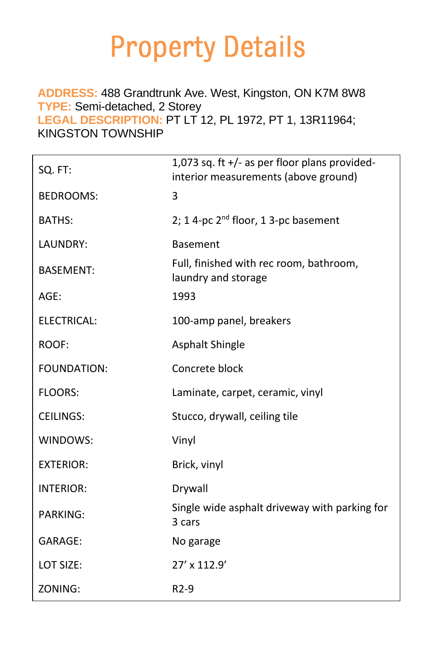## **Property Details**

## **ADDRESS:** 488 Grandtrunk Ave. West, Kingston, ON K7M 8W8 **TYPE:** Semi-detached, 2 Storey

**LEGAL DESCRIPTION:** PT LT 12, PL 1972, PT 1, 13R11964; KINGSTON TOWNSHIP

| SQ. FT:          | 1,073 sq. ft $+/-$ as per floor plans provided-<br>interior measurements (above ground) |
|------------------|-----------------------------------------------------------------------------------------|
| <b>BEDROOMS:</b> | 3                                                                                       |
| BATHS:           | 2; 1 4-pc $2^{nd}$ floor, 1 3-pc basement                                               |
| LAUNDRY:         | <b>Basement</b>                                                                         |
| <b>BASEMENT:</b> | Full, finished with rec room, bathroom,<br>laundry and storage                          |
| $AGE$ :          | 1993                                                                                    |
| ELECTRICAL:      | 100-amp panel, breakers                                                                 |
| ROOF:            | <b>Asphalt Shingle</b>                                                                  |
| FOUNDATION:      | Concrete block                                                                          |
| <b>FLOORS:</b>   | Laminate, carpet, ceramic, vinyl                                                        |
| <b>CEILINGS:</b> | Stucco, drywall, ceiling tile                                                           |
| WINDOWS:         | Vinyl                                                                                   |
| <b>EXTERIOR:</b> | Brick, vinyl                                                                            |
| <b>INTERIOR:</b> | Drywall                                                                                 |
| <b>PARKING:</b>  | Single wide asphalt driveway with parking for<br>3 cars                                 |
| GARAGE:          | No garage                                                                               |
| LOT SIZE:        | 27' x 112.9'                                                                            |
| ZONING:          | $R2-9$                                                                                  |